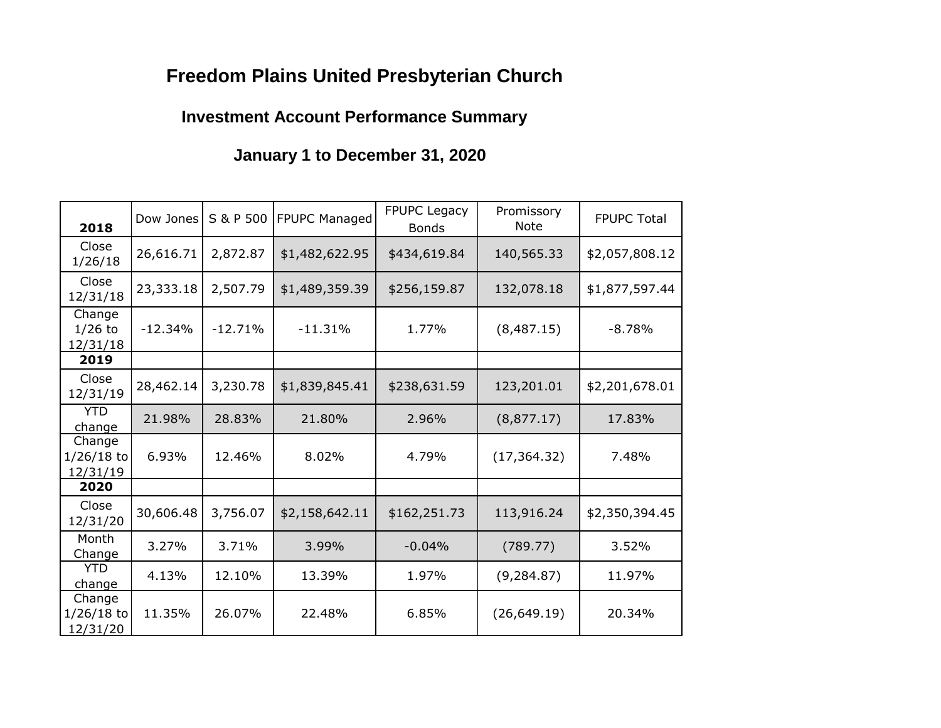# **Freedom Plains United Presbyterian Church**

## **Investment Account Performance Summary**

## **January 1 to December 31, 2020**

| 2018                               | Dow Jones | S & P 500 | FPUPC Managed  | <b>FPUPC Legacy</b><br><b>Bonds</b> | Promissory<br><b>Note</b> | <b>FPUPC Total</b> |  |  |
|------------------------------------|-----------|-----------|----------------|-------------------------------------|---------------------------|--------------------|--|--|
| Close<br>1/26/18                   | 26,616.71 | 2,872.87  | \$1,482,622.95 | \$434,619.84                        | 140,565.33                | \$2,057,808.12     |  |  |
| Close<br>12/31/18                  | 23,333.18 | 2,507.79  | \$1,489,359.39 | \$256,159.87                        | 132,078.18                | \$1,877,597.44     |  |  |
| Change<br>$1/26$ to<br>12/31/18    | $-12.34%$ | $-12.71%$ | $-11.31%$      | 1.77%                               | (8,487.15)                | $-8.78%$           |  |  |
| 2019                               |           |           |                |                                     |                           |                    |  |  |
| Close<br>12/31/19                  | 28,462.14 | 3,230.78  | \$1,839,845.41 | \$238,631.59                        | 123,201.01                | \$2,201,678.01     |  |  |
| <b>YTD</b><br>change               | 21.98%    | 28.83%    | 21.80%         | 2.96%                               | (8,877.17)                | 17.83%             |  |  |
| Change<br>$1/26/18$ to<br>12/31/19 | 6.93%     | 12.46%    | 8.02%          | 4.79%                               | (17, 364.32)              | 7.48%              |  |  |
| 2020                               |           |           |                |                                     |                           |                    |  |  |
| Close<br>12/31/20                  | 30,606.48 | 3,756.07  | \$2,158,642.11 | \$162,251.73                        | 113,916.24                | \$2,350,394.45     |  |  |
| Month<br>Change                    | 3.27%     | 3.71%     | 3.99%          | $-0.04%$                            | (789.77)                  | 3.52%              |  |  |
| <b>YTD</b><br>change               | 4.13%     | 12.10%    | 13.39%         | 1.97%                               | (9, 284.87)               | 11.97%             |  |  |
| Change<br>$1/26/18$ to<br>12/31/20 | 11.35%    | 26.07%    | 22.48%         | 6.85%                               | (26, 649.19)              | 20.34%             |  |  |